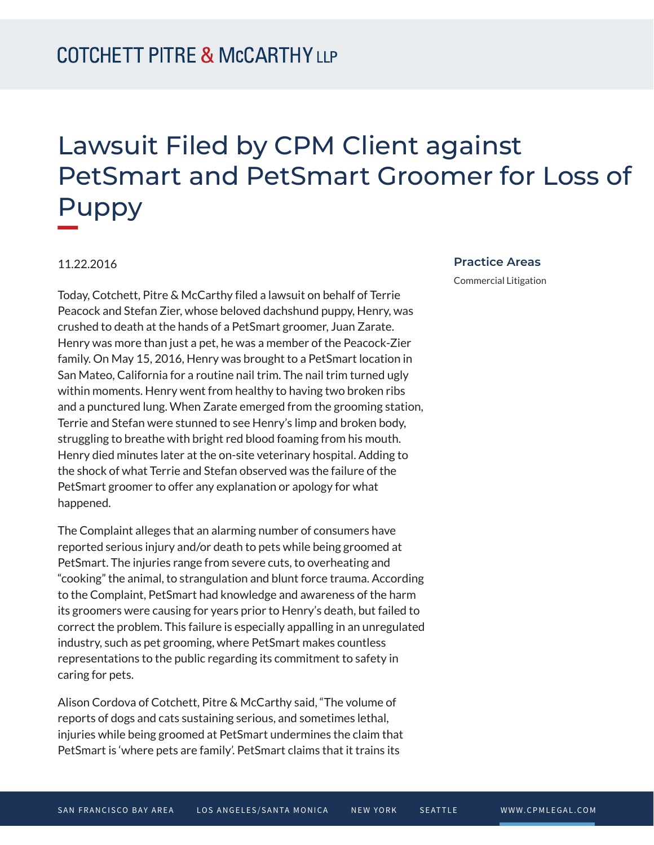## Lawsuit Filed by CPM Client against PetSmart and PetSmart Groomer for Loss of Puppy

## 11.22.2016

Today, Cotchett, Pitre & McCarthy filed a lawsuit on behalf of Terrie Peacock and Stefan Zier, whose beloved dachshund puppy, Henry, was crushed to death at the hands of a PetSmart groomer, Juan Zarate. Henry was more than just a pet, he was a member of the Peacock-Zier family. On May 15, 2016, Henry was brought to a PetSmart location in San Mateo, California for a routine nail trim. The nail trim turned ugly within moments. Henry went from healthy to having two broken ribs and a punctured lung. When Zarate emerged from the grooming station, Terrie and Stefan were stunned to see Henry's limp and broken body, struggling to breathe with bright red blood foaming from his mouth. Henry died minutes later at the on-site veterinary hospital. Adding to the shock of what Terrie and Stefan observed was the failure of the PetSmart groomer to offer any explanation or apology for what happened.

The Complaint alleges that an alarming number of consumers have reported serious injury and/or death to pets while being groomed at PetSmart. The injuries range from severe cuts, to overheating and "cooking" the animal, to strangulation and blunt force trauma. According to the Complaint, PetSmart had knowledge and awareness of the harm its groomers were causing for years prior to Henry's death, but failed to correct the problem. This failure is especially appalling in an unregulated industry, such as pet grooming, where PetSmart makes countless representations to the public regarding its commitment to safety in caring for pets.

Alison Cordova of Cotchett, Pitre & McCarthy said, "The volume of reports of dogs and cats sustaining serious, and sometimes lethal, injuries while being groomed at PetSmart undermines the claim that PetSmart is 'where pets are family'. PetSmart claims that it trains its

## **Practice Areas**

Commercial Litigation